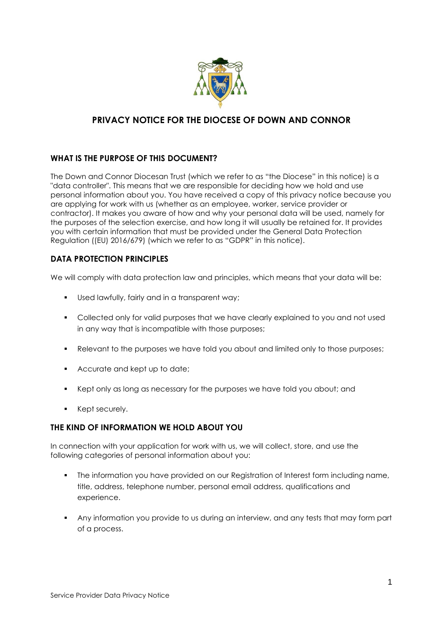

# **PRIVACY NOTICE FOR THE DIOCESE OF DOWN AND CONNOR**

## **WHAT IS THE PURPOSE OF THIS DOCUMENT?**

The Down and Connor Diocesan Trust (which we refer to as "the Diocese" in this notice) is a "data controller". This means that we are responsible for deciding how we hold and use personal information about you. You have received a copy of this privacy notice because you are applying for work with us (whether as an employee, worker, service provider or contractor). It makes you aware of how and why your personal data will be used, namely for the purposes of the selection exercise, and how long it will usually be retained for. It provides you with certain information that must be provided under the General Data Protection Regulation ((EU) 2016/679) (which we refer to as "GDPR" in this notice).

### **DATA PROTECTION PRINCIPLES**

We will comply with data protection law and principles, which means that your data will be:

- Used lawfully, fairly and in a transparent way;
- Collected only for valid purposes that we have clearly explained to you and not used in any way that is incompatible with those purposes;
- Relevant to the purposes we have told you about and limited only to those purposes;
- Accurate and kept up to date;
- Kept only as long as necessary for the purposes we have told you about; and
- Kept securely.

### **THE KIND OF INFORMATION WE HOLD ABOUT YOU**

In connection with your application for work with us, we will collect, store, and use the following categories of personal information about you:

- The information you have provided on our Registration of Interest form including name, title, address, telephone number, personal email address, qualifications and experience.
- Any information you provide to us during an interview, and any tests that may form part of a process.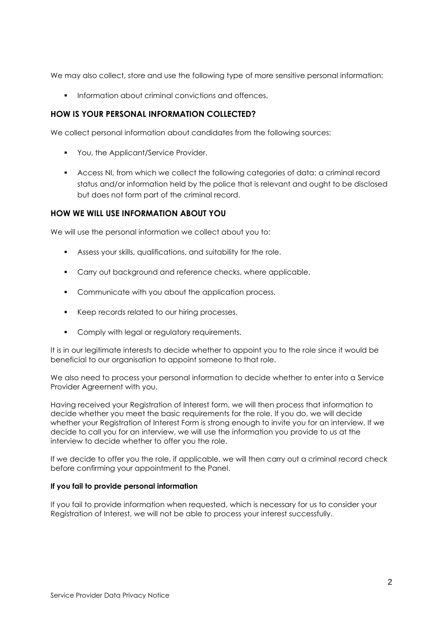We may also collect, store and use the following type of more sensitive personal information:

■ Information about criminal convictions and offences.

### **HOW IS YOUR PERSONAL INFORMATION COLLECTED?**

We collect personal information about candidates from the following sources:

- You, the Applicant/Service Provider.
- Access NI, from which we collect the following categories of data: a criminal record status and/or information held by the police that is relevant and ought to be disclosed but does not form part of the criminal record.

### **HOW WE WILL USE INFORMATION ABOUT YOU**

We will use the personal information we collect about you to:

- Assess your skills, qualifications, and suitability for the role.
- **•** Carry out background and reference checks, where applicable.
- Communicate with you about the application process.
- Keep records related to our hiring processes.
- Comply with legal or regulatory requirements.

It is in our legitimate interests to decide whether to appoint you to the role since it would be beneficial to our organisation to appoint someone to that role.

We also need to process your personal information to decide whether to enter into a Service Provider Agreement with you.

Having received your Registration of Interest form, we will then process that information to decide whether you meet the basic requirements for the role. If you do, we will decide whether your Registration of Interest Form is strong enough to invite you for an interview. If we decide to call you for an interview, we will use the information you provide to us at the interview to decide whether to offer you the role.

If we decide to offer you the role, if applicable, we will then carry out a criminal record check before confirming your appointment to the Panel.

#### **If you fail to provide personal information**

If you fail to provide information when requested, which is necessary for us to consider your Registration of Interest, we will not be able to process your interest successfully.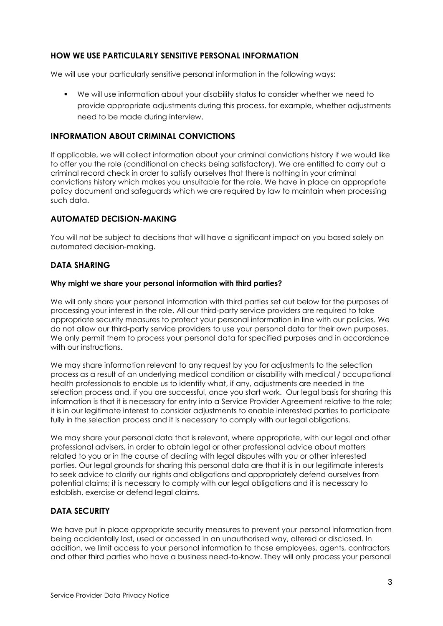### **HOW WE USE PARTICULARLY SENSITIVE PERSONAL INFORMATION**

We will use your particularly sensitive personal information in the following ways:

▪ We will use information about your disability status to consider whether we need to provide appropriate adjustments during this process, for example, whether adjustments need to be made during interview.

### **INFORMATION ABOUT CRIMINAL CONVICTIONS**

If applicable, we will collect information about your criminal convictions history if we would like to offer you the role (conditional on checks being satisfactory). We are entitled to carry out a criminal record check in order to satisfy ourselves that there is nothing in your criminal convictions history which makes you unsuitable for the role. We have in place an appropriate policy document and safeguards which we are required by law to maintain when processing such data.

### **AUTOMATED DECISION-MAKING**

You will not be subject to decisions that will have a significant impact on you based solely on automated decision-making.

### **DATA SHARING**

#### **Why might we share your personal information with third parties?**

We will only share your personal information with third parties set out below for the purposes of processing your interest in the role. All our third-party service providers are required to take appropriate security measures to protect your personal information in line with our policies. We do not allow our third-party service providers to use your personal data for their own purposes. We only permit them to process your personal data for specified purposes and in accordance with our instructions.

We may share information relevant to any request by you for adjustments to the selection process as a result of an underlying medical condition or disability with medical / occupational health professionals to enable us to identify what, if any, adjustments are needed in the selection process and, if you are successful, once you start work. Our legal basis for sharing this information is that it is necessary for entry into a Service Provider Agreement relative to the role; it is in our legitimate interest to consider adjustments to enable interested parties to participate fully in the selection process and it is necessary to comply with our legal obligations.

We may share your personal data that is relevant, where appropriate, with our legal and other professional advisers, in order to obtain legal or other professional advice about matters related to you or in the course of dealing with legal disputes with you or other interested parties. Our legal grounds for sharing this personal data are that it is in our legitimate interests to seek advice to clarify our rights and obligations and appropriately defend ourselves from potential claims; it is necessary to comply with our legal obligations and it is necessary to establish, exercise or defend legal claims.

### **DATA SECURITY**

We have put in place appropriate security measures to prevent your personal information from being accidentally lost, used or accessed in an unauthorised way, altered or disclosed. In addition, we limit access to your personal information to those employees, agents, contractors and other third parties who have a business need-to-know. They will only process your personal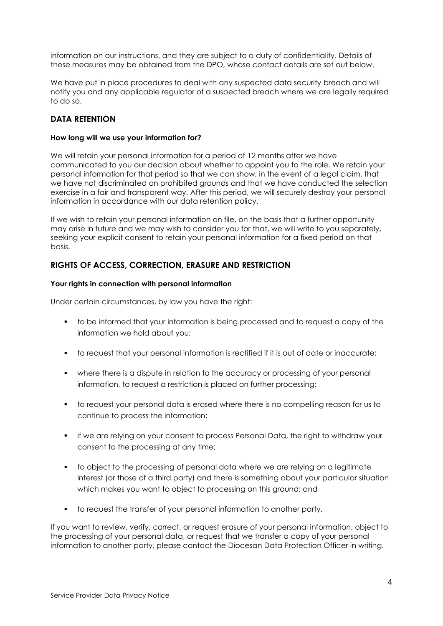information on our instructions, and they are subject to a duty of confidentiality. Details of these measures may be obtained from the DPO, whose contact details are set out below.

We have put in place procedures to deal with any suspected data security breach and will notify you and any applicable regulator of a suspected breach where we are legally required to do so.

### **DATA RETENTION**

#### **How long will we use your information for?**

We will retain your personal information for a period of 12 months after we have communicated to you our decision about whether to appoint you to the role. We retain your personal information for that period so that we can show, in the event of a legal claim, that we have not discriminated on prohibited grounds and that we have conducted the selection exercise in a fair and transparent way. After this period, we will securely destroy your personal information in accordance with our data retention policy.

If we wish to retain your personal information on file, on the basis that a further opportunity may arise in future and we may wish to consider you for that, we will write to you separately, seeking your explicit consent to retain your personal information for a fixed period on that basis.

#### **RIGHTS OF ACCESS, CORRECTION, ERASURE AND RESTRICTION**

#### **Your rights in connection with personal information**

Under certain circumstances, by law you have the right:

- to be informed that your information is being processed and to request a copy of the information we hold about you;
- to request that your personal information is rectified if it is out of date or inaccurate;
- where there is a dispute in relation to the accuracy or processing of your personal information, to request a restriction is placed on further processing;
- to request your personal data is erased where there is no compelling reason for us to continue to process the information;
- if we are relying on your consent to process Personal Data, the right to withdraw your consent to the processing at any time;
- to object to the processing of personal data where we are relying on a legitimate interest (or those of a third party) and there is something about your particular situation which makes you want to object to processing on this ground; and
- to request the transfer of your personal information to another party.

If you want to review, verify, correct, or request erasure of your personal information, object to the processing of your personal data, or request that we transfer a copy of your personal information to another party, please contact the Diocesan Data Protection Officer in writing.